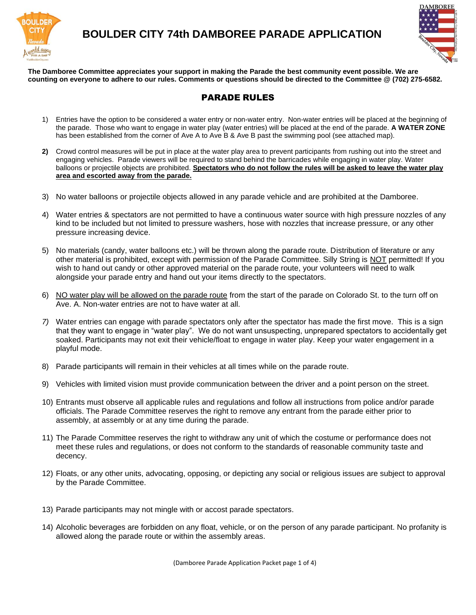

## **BOULDER CITY 74th DAMBOREE PARADE APPLICATION**



**The Damboree Committee appreciates your support in making the Parade the best community event possible. We are counting on everyone to adhere to our rules. Comments or questions should be directed to the Committee @ (702) 275-6582.**

### PARADE RULES

- 1) Entries have the option to be considered a water entry or non-water entry. Non-water entries will be placed at the beginning of the parade. Those who want to engage in water play (water entries) will be placed at the end of the parade. **A WATER ZONE** has been established from the corner of Ave A to Ave B & Ave B past the swimming pool (see attached map).
- **2)** Crowd control measures will be put in place at the water play area to prevent participants from rushing out into the street and engaging vehicles. Parade viewers will be required to stand behind the barricades while engaging in water play. Water balloons or projectile objects are prohibited. **Spectators who do not follow the rules will be asked to leave the water play area and escorted away from the parade.**
- 3) No water balloons or projectile objects allowed in any parade vehicle and are prohibited at the Damboree.
- 4) Water entries & spectators are not permitted to have a continuous water source with high pressure nozzles of any kind to be included but not limited to pressure washers, hose with nozzles that increase pressure, or any other pressure increasing device.
- 5) No materials (candy, water balloons etc.) will be thrown along the parade route. Distribution of literature or any other material is prohibited, except with permission of the Parade Committee. Silly String is NOT permitted! If you wish to hand out candy or other approved material on the parade route, your volunteers will need to walk alongside your parade entry and hand out your items directly to the spectators.
- 6) NO water play will be allowed on the parade route from the start of the parade on Colorado St. to the turn off on Ave. A. Non-water entries are not to have water at all.
- *7)* Water entries can engage with parade spectators only after the spectator has made the first move. This is a sign that they want to engage in "water play". We do not want unsuspecting, unprepared spectators to accidentally get soaked. Participants may not exit their vehicle/float to engage in water play. Keep your water engagement in a playful mode.
- 8) Parade participants will remain in their vehicles at all times while on the parade route.
- 9) Vehicles with limited vision must provide communication between the driver and a point person on the street.
- 10) Entrants must observe all applicable rules and regulations and follow all instructions from police and/or parade officials. The Parade Committee reserves the right to remove any entrant from the parade either prior to assembly, at assembly or at any time during the parade.
- 11) The Parade Committee reserves the right to withdraw any unit of which the costume or performance does not meet these rules and regulations, or does not conform to the standards of reasonable community taste and decency.
- 12) Floats, or any other units, advocating, opposing, or depicting any social or religious issues are subject to approval by the Parade Committee.
- 13) Parade participants may not mingle with or accost parade spectators.
- 14) Alcoholic beverages are forbidden on any float, vehicle, or on the person of any parade participant. No profanity is allowed along the parade route or within the assembly areas.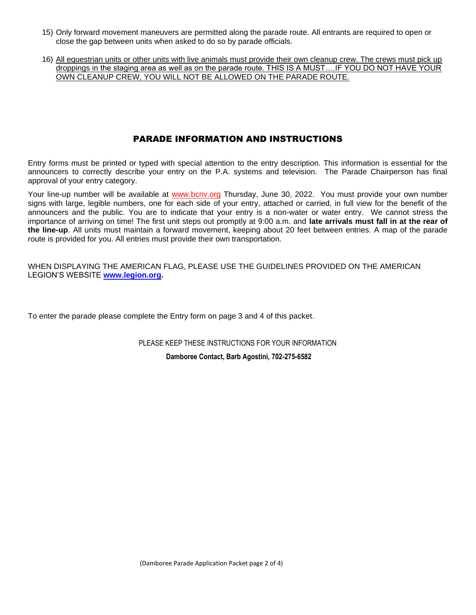- 15) Only forward movement maneuvers are permitted along the parade route. All entrants are required to open or close the gap between units when asked to do so by parade officials.
- 16) All equestrian units or other units with live animals must provide their own cleanup crew. The crews must pick up droppings in the staging area as well as on the parade route. THIS IS A MUST….IF YOU DO NOT HAVE YOUR OWN CLEANUP CREW, YOU WILL NOT BE ALLOWED ON THE PARADE ROUTE.

#### PARADE INFORMATION AND INSTRUCTIONS

Entry forms must be printed or typed with special attention to the entry description. This information is essential for the announcers to correctly describe your entry on the P.A. systems and television. The Parade Chairperson has final approval of your entry category.

Your line-up number will be available at www.bcnv.org Thursday, June 30, 2022. You must provide your own number signs with large, legible numbers, one for each side of your entry, attached or carried, in full view for the benefit of the announcers and the public. You are to indicate that your entry is a non-water or water entry. We cannot stress the importance of arriving on time! The first unit steps out promptly at 9:00 a.m. and **late arrivals must fall in at the rear of the line-up**. All units must maintain a forward movement, keeping about 20 feet between entries. A map of the parade route is provided for you. All entries must provide their own transportation.

WHEN DISPLAYING THE AMERICAN FLAG, PLEASE USE THE GUIDELINES PROVIDED ON THE AMERICAN LEGION'S WEBSITE **[www.legion.org.](http://www.legion.org/)**

To enter the parade please complete the Entry form on page 3 and 4 of this packet.

PLEASE KEEP THESE INSTRUCTIONS FOR YOUR INFORMATION

**Damboree Contact, Barb Agostini, 702-275-6582**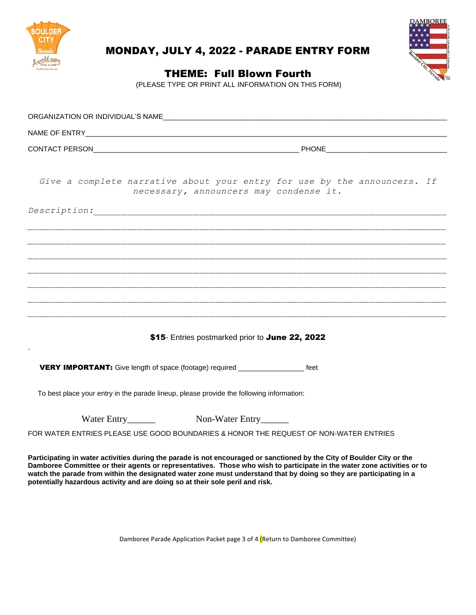



# MONDAY, JULY 4, 2022 - PARADE ENTRY FORM

THEME: Full Blown Fourth

(PLEASE TYPE OR PRINT ALL INFORMATION ON THIS FORM)

| CONTACT PERSON EXAMPLE THE RESERVE THE RESERVE THAT IS A REPORT OF THE RESERVE THAT IS A REPORT OF THE RESERVE THAT IS A REPORT OF THE RESERVE THAT IS A REPORT OF THE RESERVE THAT IS A REPORT OF THE RESERVE THAT IS A REPOR                                                                                                                                                                                                                            |  |  |  |  |
|-----------------------------------------------------------------------------------------------------------------------------------------------------------------------------------------------------------------------------------------------------------------------------------------------------------------------------------------------------------------------------------------------------------------------------------------------------------|--|--|--|--|
| Give a complete narrative about your entry for use by the announcers. If<br>necessary, announcers may condense it.                                                                                                                                                                                                                                                                                                                                        |  |  |  |  |
|                                                                                                                                                                                                                                                                                                                                                                                                                                                           |  |  |  |  |
|                                                                                                                                                                                                                                                                                                                                                                                                                                                           |  |  |  |  |
|                                                                                                                                                                                                                                                                                                                                                                                                                                                           |  |  |  |  |
|                                                                                                                                                                                                                                                                                                                                                                                                                                                           |  |  |  |  |
|                                                                                                                                                                                                                                                                                                                                                                                                                                                           |  |  |  |  |
|                                                                                                                                                                                                                                                                                                                                                                                                                                                           |  |  |  |  |
| \$15- Entries postmarked prior to June 22, 2022                                                                                                                                                                                                                                                                                                                                                                                                           |  |  |  |  |
| <b>VERY IMPORTANT:</b> Give length of space (footage) required _________________ feet                                                                                                                                                                                                                                                                                                                                                                     |  |  |  |  |
| To best place your entry in the parade lineup, please provide the following information:                                                                                                                                                                                                                                                                                                                                                                  |  |  |  |  |
| Water Entry Non-Water Entry                                                                                                                                                                                                                                                                                                                                                                                                                               |  |  |  |  |
| FOR WATER ENTRIES PLEASE USE GOOD BOUNDARIES & HONOR THE REQUEST OF NON-WATER ENTRIES                                                                                                                                                                                                                                                                                                                                                                     |  |  |  |  |
| Participating in water activities during the parade is not encouraged or sanctioned by the City of Boulder City or the<br>Damboree Committee or their agents or representatives. Those who wish to participate in the water zone activities or to<br>watch the parade from within the designated water zone must understand that by doing so they are participating in a<br>potentially hazardous activity and are doing so at their sole peril and risk. |  |  |  |  |

Damboree Parade Application Packet page 3 of 4 (Return to Damboree Committee)